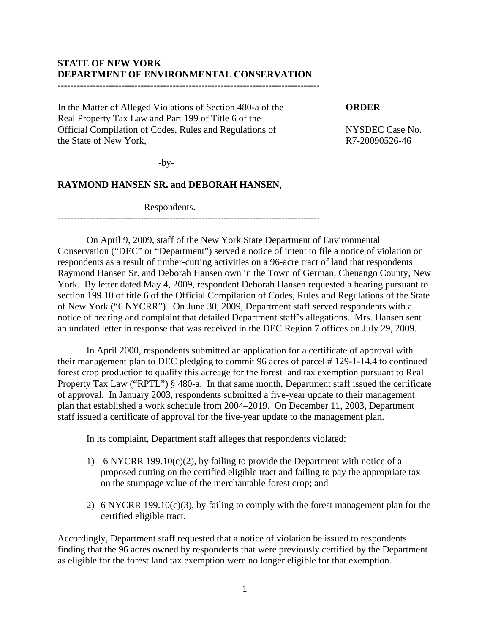### **STATE OF NEW YORK DEPARTMENT OF ENVIRONMENTAL CONSERVATION ----------------------------------------------------------------------------------**

# In the Matter of Alleged Violations of Section 480-a of the **ORDER**  Real Property Tax Law and Part 199 of Title 6 of the Official Compilation of Codes, Rules and Regulations of NYSDEC Case No.

the State of New York,  $R7-20090526-46$ 

 $-by-$ 

# **RAYMOND HANSEN SR. and DEBORAH HANSEN**,

Respondents.

**----------------------------------------------------------------------------------**

 On April 9, 2009, staff of the New York State Department of Environmental Conservation ("DEC" or "Department") served a notice of intent to file a notice of violation on respondents as a result of timber-cutting activities on a 96-acre tract of land that respondents Raymond Hansen Sr. and Deborah Hansen own in the Town of German, Chenango County, New York. By letter dated May 4, 2009, respondent Deborah Hansen requested a hearing pursuant to section 199.10 of title 6 of the Official Compilation of Codes, Rules and Regulations of the State of New York ("6 NYCRR"). On June 30, 2009, Department staff served respondents with a notice of hearing and complaint that detailed Department staff's allegations. Mrs. Hansen sent an undated letter in response that was received in the DEC Region 7 offices on July 29, 2009.

 In April 2000, respondents submitted an application for a certificate of approval with their management plan to DEC pledging to commit 96 acres of parcel # 129-1-14.4 to continued forest crop production to qualify this acreage for the forest land tax exemption pursuant to Real Property Tax Law ("RPTL") § 480-a. In that same month, Department staff issued the certificate of approval. In January 2003, respondents submitted a five-year update to their management plan that established a work schedule from 2004–2019. On December 11, 2003, Department staff issued a certificate of approval for the five-year update to the management plan.

In its complaint, Department staff alleges that respondents violated:

- 1) 6 NYCRR 199.10(c)(2), by failing to provide the Department with notice of a proposed cutting on the certified eligible tract and failing to pay the appropriate tax on the stumpage value of the merchantable forest crop; and
- 2) 6 NYCRR 199.10(c)(3), by failing to comply with the forest management plan for the certified eligible tract.

Accordingly, Department staff requested that a notice of violation be issued to respondents finding that the 96 acres owned by respondents that were previously certified by the Department as eligible for the forest land tax exemption were no longer eligible for that exemption.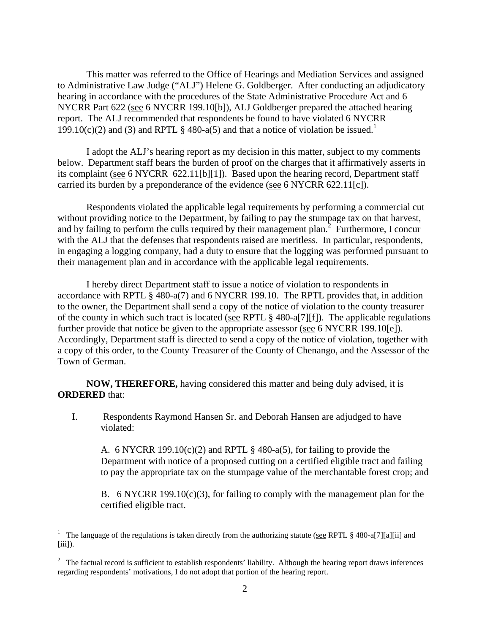This matter was referred to the Office of Hearings and Mediation Services and assigned to Administrative Law Judge ("ALJ") Helene G. Goldberger. After conducting an adjudicatory hearing in accordance with the procedures of the State Administrative Procedure Act and 6 NYCRR Part 622 (see 6 NYCRR 199.10[b]), ALJ Goldberger prepared the attached hearing report. The ALJ recommended that respondents be found to have violated 6 NYCRR 199.10(c)(2) and (3) and RPTL § 480-a(5) and that a notice of violation be issued.<sup>1</sup>

 I adopt the ALJ's hearing report as my decision in this matter, subject to my comments below. Department staff bears the burden of proof on the charges that it affirmatively asserts in its complaint (see 6 NYCRR 622.11[b][1]). Based upon the hearing record, Department staff carried its burden by a preponderance of the evidence (see 6 NYCRR 622.11[c]).

Respondents violated the applicable legal requirements by performing a commercial cut without providing notice to the Department, by failing to pay the stumpage tax on that harvest, and by failing to perform the culls required by their management plan.<sup>2</sup> Furthermore, I concur with the ALJ that the defenses that respondents raised are meritless. In particular, respondents, in engaging a logging company, had a duty to ensure that the logging was performed pursuant to their management plan and in accordance with the applicable legal requirements.

 I hereby direct Department staff to issue a notice of violation to respondents in accordance with RPTL § 480-a(7) and 6 NYCRR 199.10. The RPTL provides that, in addition to the owner, the Department shall send a copy of the notice of violation to the county treasurer of the county in which such tract is located (see RPTL § 480-a[7][f]). The applicable regulations further provide that notice be given to the appropriate assessor (see 6 NYCRR 199.10[e]). Accordingly, Department staff is directed to send a copy of the notice of violation, together with a copy of this order, to the County Treasurer of the County of Chenango, and the Assessor of the Town of German.

**NOW, THEREFORE,** having considered this matter and being duly advised, it is **ORDERED** that:

I. Respondents Raymond Hansen Sr. and Deborah Hansen are adjudged to have violated:

A. 6 NYCRR 199.10(c)(2) and RPTL  $\S$  480-a(5), for failing to provide the Department with notice of a proposed cutting on a certified eligible tract and failing to pay the appropriate tax on the stumpage value of the merchantable forest crop; and

B. 6 NYCRR 199.10(c)(3), for failing to comply with the management plan for the certified eligible tract.

 $\overline{a}$ 

<sup>&</sup>lt;sup>1</sup> The language of the regulations is taken directly from the authorizing statute (see RPTL § 480-a[7][a][ii] and  $[iii]$ ).

 $2\degree$  The factual record is sufficient to establish respondents' liability. Although the hearing report draws inferences regarding respondents' motivations, I do not adopt that portion of the hearing report.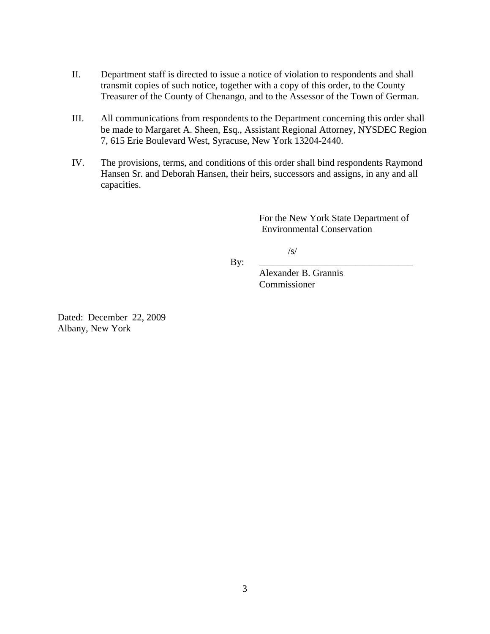- II. Department staff is directed to issue a notice of violation to respondents and shall transmit copies of such notice, together with a copy of this order, to the County Treasurer of the County of Chenango, and to the Assessor of the Town of German.
- III. All communications from respondents to the Department concerning this order shall be made to Margaret A. Sheen, Esq., Assistant Regional Attorney, NYSDEC Region 7, 615 Erie Boulevard West, Syracuse, New York 13204-2440.
- IV. The provisions, terms, and conditions of this order shall bind respondents Raymond Hansen Sr. and Deborah Hansen, their heirs, successors and assigns, in any and all capacities.

For the New York State Department of Environmental Conservation

/s/

By: \_\_\_\_\_\_\_\_\_\_\_\_\_\_\_\_\_\_\_\_\_\_\_\_\_\_\_\_\_\_\_\_

 Alexander B. Grannis Commissioner

Dated: December 22, 2009 Albany, New York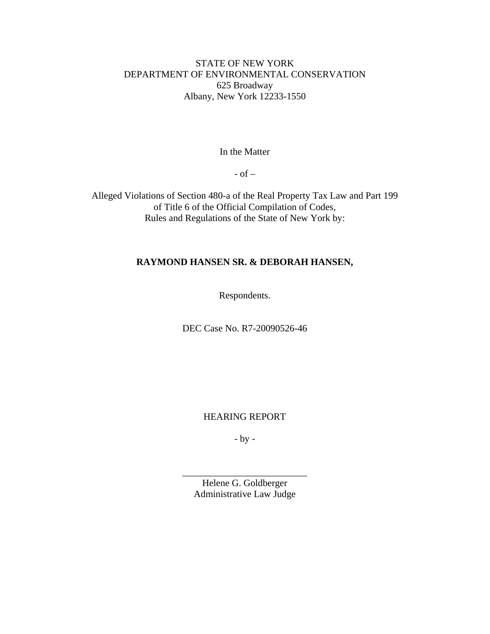# STATE OF NEW YORK DEPARTMENT OF ENVIRONMENTAL CONSERVATION 625 Broadway Albany, New York 12233-1550

In the Matter

- of –

Alleged Violations of Section 480-a of the Real Property Tax Law and Part 199 of Title 6 of the Official Compilation of Codes, Rules and Regulations of the State of New York by:

# **RAYMOND HANSEN SR. & DEBORAH HANSEN,**

Respondents.

DEC Case No. R7-20090526-46

HEARING REPORT

- by -

Helene G. Goldberger Administrative Law Judge

\_\_\_\_\_\_\_\_\_\_\_\_\_\_\_\_\_\_\_\_\_\_\_\_\_\_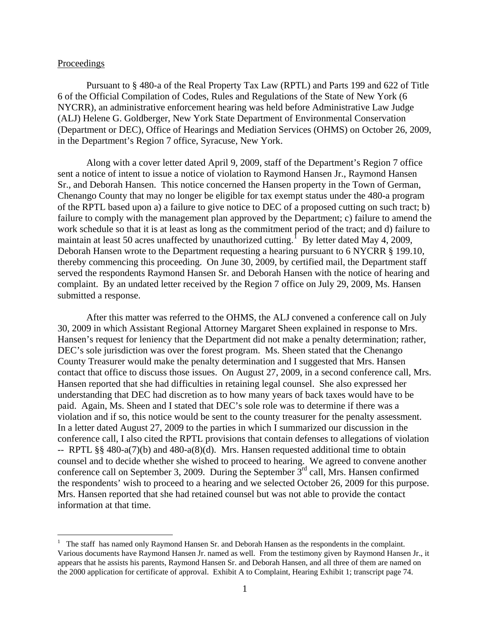### Proceedings

<u>.</u>

 Pursuant to § 480-a of the Real Property Tax Law (RPTL) and Parts 199 and 622 of Title 6 of the Official Compilation of Codes, Rules and Regulations of the State of New York (6 NYCRR), an administrative enforcement hearing was held before Administrative Law Judge (ALJ) Helene G. Goldberger, New York State Department of Environmental Conservation (Department or DEC), Office of Hearings and Mediation Services (OHMS) on October 26, 2009, in the Department's Region 7 office, Syracuse, New York.

 Along with a cover letter dated April 9, 2009, staff of the Department's Region 7 office sent a notice of intent to issue a notice of violation to Raymond Hansen Jr., Raymond Hansen Sr., and Deborah Hansen. This notice concerned the Hansen property in the Town of German, Chenango County that may no longer be eligible for tax exempt status under the 480-a program of the RPTL based upon a) a failure to give notice to DEC of a proposed cutting on such tract; b) failure to comply with the management plan approved by the Department; c) failure to amend the work schedule so that it is at least as long as the commitment period of the tract; and d) failure to maintain at least 50 acres unaffected by unauthorized cutting.<sup>[1](#page-4-0)</sup> By letter dated May 4, 2009, Deborah Hansen wrote to the Department requesting a hearing pursuant to 6 NYCRR § 199.10, thereby commencing this proceeding. On June 30, 2009, by certified mail, the Department staff served the respondents Raymond Hansen Sr. and Deborah Hansen with the notice of hearing and complaint. By an undated letter received by the Region 7 office on July 29, 2009, Ms. Hansen submitted a response.

 After this matter was referred to the OHMS, the ALJ convened a conference call on July 30, 2009 in which Assistant Regional Attorney Margaret Sheen explained in response to Mrs. Hansen's request for leniency that the Department did not make a penalty determination; rather, DEC's sole jurisdiction was over the forest program. Ms. Sheen stated that the Chenango County Treasurer would make the penalty determination and I suggested that Mrs. Hansen contact that office to discuss those issues. On August 27, 2009, in a second conference call, Mrs. Hansen reported that she had difficulties in retaining legal counsel. She also expressed her understanding that DEC had discretion as to how many years of back taxes would have to be paid. Again, Ms. Sheen and I stated that DEC's sole role was to determine if there was a violation and if so, this notice would be sent to the county treasurer for the penalty assessment. In a letter dated August 27, 2009 to the parties in which I summarized our discussion in the conference call, I also cited the RPTL provisions that contain defenses to allegations of violation -- RPTL §§ 480-a(7)(b) and 480-a(8)(d). Mrs. Hansen requested additional time to obtain counsel and to decide whether she wished to proceed to hearing. We agreed to convene another conference call on September 3, 2009. During the September  $3^{rd}$  call, Mrs. Hansen confirmed the respondents' wish to proceed to a hearing and we selected October 26, 2009 for this purpose. Mrs. Hansen reported that she had retained counsel but was not able to provide the contact information at that time.

<span id="page-4-0"></span><sup>1</sup> The staff has named only Raymond Hansen Sr. and Deborah Hansen as the respondents in the complaint. Various documents have Raymond Hansen Jr. named as well. From the testimony given by Raymond Hansen Jr., it appears that he assists his parents, Raymond Hansen Sr. and Deborah Hansen, and all three of them are named on the 2000 application for certificate of approval. Exhibit A to Complaint, Hearing Exhibit 1; transcript page 74.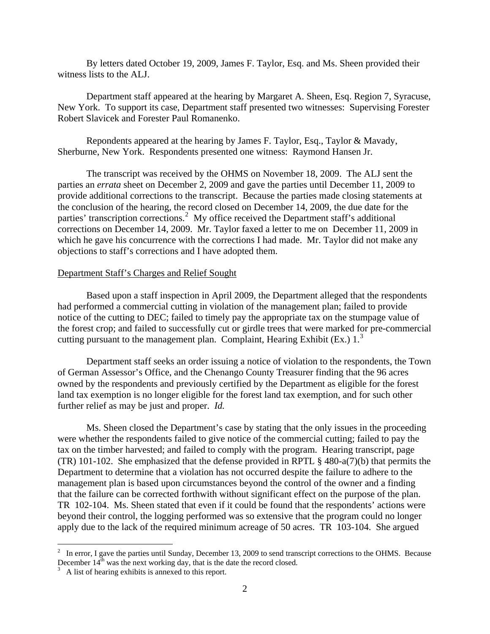By letters dated October 19, 2009, James F. Taylor, Esq. and Ms. Sheen provided their witness lists to the ALJ.

 Department staff appeared at the hearing by Margaret A. Sheen, Esq. Region 7, Syracuse, New York. To support its case, Department staff presented two witnesses: Supervising Forester Robert Slavicek and Forester Paul Romanenko.

 Repondents appeared at the hearing by James F. Taylor, Esq., Taylor & Mavady, Sherburne, New York. Respondents presented one witness: Raymond Hansen Jr.

 The transcript was received by the OHMS on November 18, 2009. The ALJ sent the parties an *errata* sheet on December 2, 2009 and gave the parties until December 11, 2009 to provide additional corrections to the transcript. Because the parties made closing statements at the conclusion of the hearing, the record closed on December 14, 2009, the due date for the parties' transcription corrections.<sup>[2](#page-5-0)</sup> My office received the Department staff's additional corrections on December 14, 2009. Mr. Taylor faxed a letter to me on December 11, 2009 in which he gave his concurrence with the corrections I had made. Mr. Taylor did not make any objections to staff's corrections and I have adopted them.

### Department Staff's Charges and Relief Sought

Based upon a staff inspection in April 2009, the Department alleged that the respondents had performed a commercial cutting in violation of the management plan; failed to provide notice of the cutting to DEC; failed to timely pay the appropriate tax on the stumpage value of the forest crop; and failed to successfully cut or girdle trees that were marked for pre-commercial cutting pursuant to the management plan. Complaint, Hearing Exhibit (Ex.)  $1<sup>3</sup>$  $1<sup>3</sup>$  $1<sup>3</sup>$ 

 Department staff seeks an order issuing a notice of violation to the respondents, the Town of German Assessor's Office, and the Chenango County Treasurer finding that the 96 acres owned by the respondents and previously certified by the Department as eligible for the forest land tax exemption is no longer eligible for the forest land tax exemption, and for such other further relief as may be just and proper. *Id.* 

 Ms. Sheen closed the Department's case by stating that the only issues in the proceeding were whether the respondents failed to give notice of the commercial cutting; failed to pay the tax on the timber harvested; and failed to comply with the program. Hearing transcript, page (TR) 101-102. She emphasized that the defense provided in RPTL § 480-a(7)(b) that permits the Department to determine that a violation has not occurred despite the failure to adhere to the management plan is based upon circumstances beyond the control of the owner and a finding that the failure can be corrected forthwith without significant effect on the purpose of the plan. TR 102-104. Ms. Sheen stated that even if it could be found that the respondents' actions were beyond their control, the logging performed was so extensive that the program could no longer apply due to the lack of the required minimum acreage of 50 acres. TR 103-104. She argued

 $\overline{a}$ 

<span id="page-5-0"></span> $2\;\;$  In error, I gave the parties until Sunday, December 13, 2009 to send transcript corrections to the OHMS. Because December  $14<sup>th</sup>$  was the next working day, that is the date the record closed.

<span id="page-5-1"></span>A list of hearing exhibits is annexed to this report.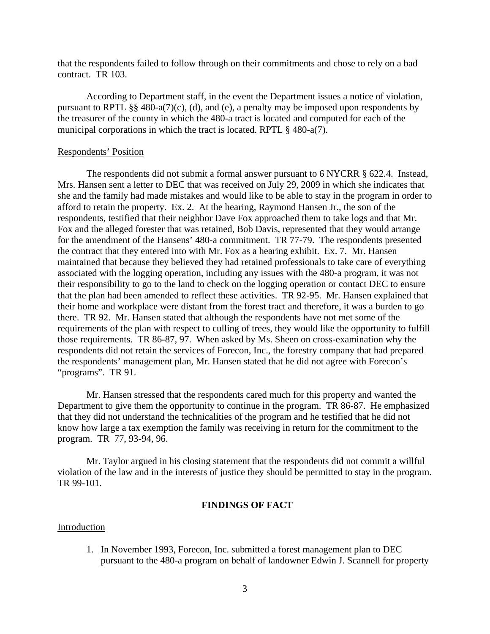that the respondents failed to follow through on their commitments and chose to rely on a bad contract. TR 103.

 According to Department staff, in the event the Department issues a notice of violation, pursuant to RPTL §§ 480-a(7)(c), (d), and (e), a penalty may be imposed upon respondents by the treasurer of the county in which the 480-a tract is located and computed for each of the municipal corporations in which the tract is located. RPTL § 480-a(7).

## Respondents' Position

 The respondents did not submit a formal answer pursuant to 6 NYCRR § 622.4. Instead, Mrs. Hansen sent a letter to DEC that was received on July 29, 2009 in which she indicates that she and the family had made mistakes and would like to be able to stay in the program in order to afford to retain the property. Ex. 2. At the hearing, Raymond Hansen Jr., the son of the respondents, testified that their neighbor Dave Fox approached them to take logs and that Mr. Fox and the alleged forester that was retained, Bob Davis, represented that they would arrange for the amendment of the Hansens' 480-a commitment. TR 77-79. The respondents presented the contract that they entered into with Mr. Fox as a hearing exhibit. Ex. 7. Mr. Hansen maintained that because they believed they had retained professionals to take care of everything associated with the logging operation, including any issues with the 480-a program, it was not their responsibility to go to the land to check on the logging operation or contact DEC to ensure that the plan had been amended to reflect these activities. TR 92-95. Mr. Hansen explained that their home and workplace were distant from the forest tract and therefore, it was a burden to go there. TR 92. Mr. Hansen stated that although the respondents have not met some of the requirements of the plan with respect to culling of trees, they would like the opportunity to fulfill those requirements. TR 86-87, 97. When asked by Ms. Sheen on cross-examination why the respondents did not retain the services of Forecon, Inc., the forestry company that had prepared the respondents' management plan, Mr. Hansen stated that he did not agree with Forecon's "programs". TR 91.

 Mr. Hansen stressed that the respondents cared much for this property and wanted the Department to give them the opportunity to continue in the program. TR 86-87. He emphasized that they did not understand the technicalities of the program and he testified that he did not know how large a tax exemption the family was receiving in return for the commitment to the program. TR 77, 93-94, 96.

 Mr. Taylor argued in his closing statement that the respondents did not commit a willful violation of the law and in the interests of justice they should be permitted to stay in the program. TR 99-101.

# **FINDINGS OF FACT**

#### Introduction

1. In November 1993, Forecon, Inc. submitted a forest management plan to DEC pursuant to the 480-a program on behalf of landowner Edwin J. Scannell for property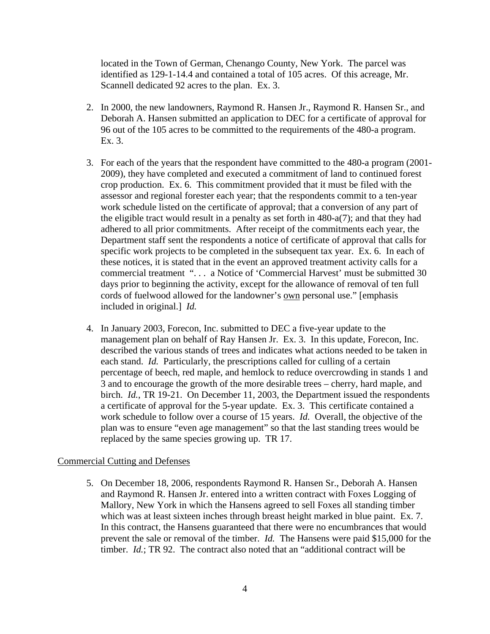located in the Town of German, Chenango County, New York. The parcel was identified as 129-1-14.4 and contained a total of 105 acres. Of this acreage, Mr. Scannell dedicated 92 acres to the plan. Ex. 3.

- 2. In 2000, the new landowners, Raymond R. Hansen Jr., Raymond R. Hansen Sr., and Deborah A. Hansen submitted an application to DEC for a certificate of approval for 96 out of the 105 acres to be committed to the requirements of the 480-a program. Ex. 3.
- 3. For each of the years that the respondent have committed to the 480-a program (2001- 2009), they have completed and executed a commitment of land to continued forest crop production. Ex. 6. This commitment provided that it must be filed with the assessor and regional forester each year; that the respondents commit to a ten-year work schedule listed on the certificate of approval; that a conversion of any part of the eligible tract would result in a penalty as set forth in 480-a(7); and that they had adhered to all prior commitments. After receipt of the commitments each year, the Department staff sent the respondents a notice of certificate of approval that calls for specific work projects to be completed in the subsequent tax year. Ex. 6. In each of these notices, it is stated that in the event an approved treatment activity calls for a commercial treatment ". . . a Notice of 'Commercial Harvest' must be submitted 30 days prior to beginning the activity, except for the allowance of removal of ten full cords of fuelwood allowed for the landowner's own personal use." [emphasis included in original.] *Id.*
- 4. In January 2003, Forecon, Inc. submitted to DEC a five-year update to the management plan on behalf of Ray Hansen Jr. Ex. 3. In this update, Forecon, Inc. described the various stands of trees and indicates what actions needed to be taken in each stand. *Id.* Particularly, the prescriptions called for culling of a certain percentage of beech, red maple, and hemlock to reduce overcrowding in stands 1 and 3 and to encourage the growth of the more desirable trees – cherry, hard maple, and birch. *Id.*, TR 19-21. On December 11, 2003, the Department issued the respondents a certificate of approval for the 5-year update. Ex. 3. This certificate contained a work schedule to follow over a course of 15 years. *Id.* Overall, the objective of the plan was to ensure "even age management" so that the last standing trees would be replaced by the same species growing up. TR 17.

# Commercial Cutting and Defenses

5. On December 18, 2006, respondents Raymond R. Hansen Sr., Deborah A. Hansen and Raymond R. Hansen Jr. entered into a written contract with Foxes Logging of Mallory, New York in which the Hansens agreed to sell Foxes all standing timber which was at least sixteen inches through breast height marked in blue paint. Ex. 7. In this contract, the Hansens guaranteed that there were no encumbrances that would prevent the sale or removal of the timber. *Id.* The Hansens were paid \$15,000 for the timber. *Id.*; TR 92. The contract also noted that an "additional contract will be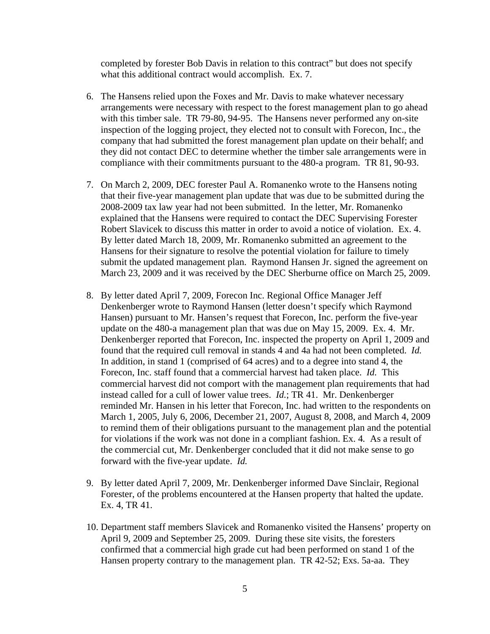completed by forester Bob Davis in relation to this contract" but does not specify what this additional contract would accomplish. Ex. 7.

- 6. The Hansens relied upon the Foxes and Mr. Davis to make whatever necessary arrangements were necessary with respect to the forest management plan to go ahead with this timber sale. TR 79-80, 94-95. The Hansens never performed any on-site inspection of the logging project, they elected not to consult with Forecon, Inc., the company that had submitted the forest management plan update on their behalf; and they did not contact DEC to determine whether the timber sale arrangements were in compliance with their commitments pursuant to the 480-a program. TR 81, 90-93.
- 7. On March 2, 2009, DEC forester Paul A. Romanenko wrote to the Hansens noting that their five-year management plan update that was due to be submitted during the 2008-2009 tax law year had not been submitted. In the letter, Mr. Romanenko explained that the Hansens were required to contact the DEC Supervising Forester Robert Slavicek to discuss this matter in order to avoid a notice of violation. Ex. 4. By letter dated March 18, 2009, Mr. Romanenko submitted an agreement to the Hansens for their signature to resolve the potential violation for failure to timely submit the updated management plan. Raymond Hansen Jr. signed the agreement on March 23, 2009 and it was received by the DEC Sherburne office on March 25, 2009.
- 8. By letter dated April 7, 2009, Forecon Inc. Regional Office Manager Jeff Denkenberger wrote to Raymond Hansen (letter doesn't specify which Raymond Hansen) pursuant to Mr. Hansen's request that Forecon, Inc. perform the five-year update on the 480-a management plan that was due on May 15, 2009. Ex. 4. Mr. Denkenberger reported that Forecon, Inc. inspected the property on April 1, 2009 and found that the required cull removal in stands 4 and 4a had not been completed. *Id.* In addition, in stand 1 (comprised of 64 acres) and to a degree into stand 4, the Forecon, Inc. staff found that a commercial harvest had taken place. *Id.* This commercial harvest did not comport with the management plan requirements that had instead called for a cull of lower value trees. *Id.*; TR 41. Mr. Denkenberger reminded Mr. Hansen in his letter that Forecon, Inc. had written to the respondents on March 1, 2005, July 6, 2006, December 21, 2007, August 8, 2008, and March 4, 2009 to remind them of their obligations pursuant to the management plan and the potential for violations if the work was not done in a compliant fashion. Ex. 4*.* As a result of the commercial cut, Mr. Denkenberger concluded that it did not make sense to go forward with the five-year update. *Id.*
- 9. By letter dated April 7, 2009, Mr. Denkenberger informed Dave Sinclair, Regional Forester, of the problems encountered at the Hansen property that halted the update. Ex. 4, TR 41.
- 10. Department staff members Slavicek and Romanenko visited the Hansens' property on April 9, 2009 and September 25, 2009. During these site visits, the foresters confirmed that a commercial high grade cut had been performed on stand 1 of the Hansen property contrary to the management plan. TR 42-52; Exs. 5a-aa. They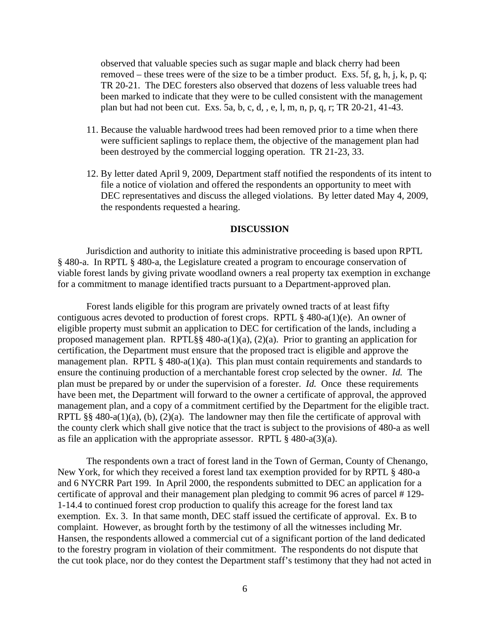observed that valuable species such as sugar maple and black cherry had been removed – these trees were of the size to be a timber product. Exs. 5f, g, h, j, k, p, q; TR 20-21. The DEC foresters also observed that dozens of less valuable trees had been marked to indicate that they were to be culled consistent with the management plan but had not been cut. Exs. 5a, b, c, d, , e, l, m, n, p, q, r; TR 20-21, 41-43.

- 11. Because the valuable hardwood trees had been removed prior to a time when there were sufficient saplings to replace them, the objective of the management plan had been destroyed by the commercial logging operation. TR 21-23, 33.
- 12. By letter dated April 9, 2009, Department staff notified the respondents of its intent to file a notice of violation and offered the respondents an opportunity to meet with DEC representatives and discuss the alleged violations. By letter dated May 4, 2009, the respondents requested a hearing.

#### **DISCUSSION**

Jurisdiction and authority to initiate this administrative proceeding is based upon RPTL § 480-a. In RPTL § 480-a, the Legislature created a program to encourage conservation of viable forest lands by giving private woodland owners a real property tax exemption in exchange for a commitment to manage identified tracts pursuant to a Department-approved plan.

 Forest lands eligible for this program are privately owned tracts of at least fifty contiguous acres devoted to production of forest crops. RPTL § 480-a(1)(e). An owner of eligible property must submit an application to DEC for certification of the lands, including a proposed management plan. RPTL§§ 480-a(1)(a), (2)(a). Prior to granting an application for certification, the Department must ensure that the proposed tract is eligible and approve the management plan. RPTL  $\S$  480-a(1)(a). This plan must contain requirements and standards to ensure the continuing production of a merchantable forest crop selected by the owner. *Id.* The plan must be prepared by or under the supervision of a forester. *Id.* Once these requirements have been met, the Department will forward to the owner a certificate of approval, the approved management plan, and a copy of a commitment certified by the Department for the eligible tract. RPTL §§ 480-a(1)(a), (b), (2)(a). The landowner may then file the certificate of approval with the county clerk which shall give notice that the tract is subject to the provisions of 480-a as well as file an application with the appropriate assessor. RPTL  $\S$  480-a(3)(a).

 The respondents own a tract of forest land in the Town of German, County of Chenango, New York, for which they received a forest land tax exemption provided for by RPTL § 480-a and 6 NYCRR Part 199. In April 2000, the respondents submitted to DEC an application for a certificate of approval and their management plan pledging to commit 96 acres of parcel # 129- 1-14.4 to continued forest crop production to qualify this acreage for the forest land tax exemption. Ex. 3. In that same month, DEC staff issued the certificate of approval. Ex. B to complaint. However, as brought forth by the testimony of all the witnesses including Mr. Hansen, the respondents allowed a commercial cut of a significant portion of the land dedicated to the forestry program in violation of their commitment. The respondents do not dispute that the cut took place, nor do they contest the Department staff's testimony that they had not acted in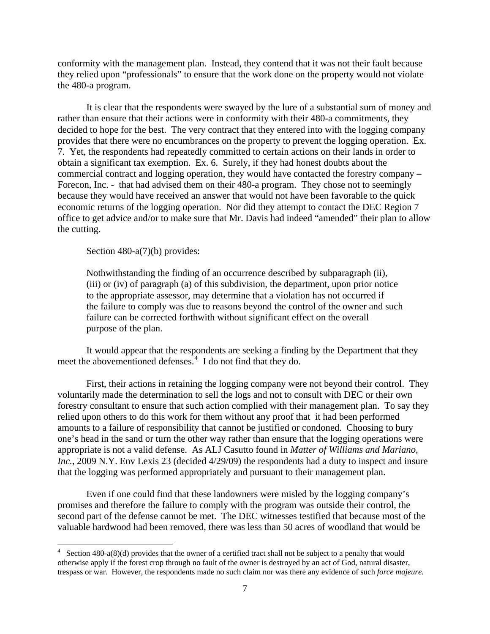conformity with the management plan. Instead, they contend that it was not their fault because they relied upon "professionals" to ensure that the work done on the property would not violate the 480-a program.

 It is clear that the respondents were swayed by the lure of a substantial sum of money and rather than ensure that their actions were in conformity with their 480-a commitments, they decided to hope for the best. The very contract that they entered into with the logging company provides that there were no encumbrances on the property to prevent the logging operation. Ex. 7. Yet, the respondents had repeatedly committed to certain actions on their lands in order to obtain a significant tax exemption. Ex. 6. Surely, if they had honest doubts about the commercial contract and logging operation, they would have contacted the forestry company – Forecon, Inc. - that had advised them on their 480-a program. They chose not to seemingly because they would have received an answer that would not have been favorable to the quick economic returns of the logging operation. Nor did they attempt to contact the DEC Region 7 office to get advice and/or to make sure that Mr. Davis had indeed "amended" their plan to allow the cutting.

Section 480-a(7)(b) provides:

1

 Nothwithstanding the finding of an occurrence described by subparagraph (ii), (iii) or (iv) of paragraph (a) of this subdivision, the department, upon prior notice to the appropriate assessor, may determine that a violation has not occurred if the failure to comply was due to reasons beyond the control of the owner and such failure can be corrected forthwith without significant effect on the overall purpose of the plan.

 It would appear that the respondents are seeking a finding by the Department that they meet the abovementioned defenses.<sup>[4](#page-10-0)</sup> I do not find that they do.

 First, their actions in retaining the logging company were not beyond their control. They voluntarily made the determination to sell the logs and not to consult with DEC or their own forestry consultant to ensure that such action complied with their management plan. To say they relied upon others to do this work for them without any proof that it had been performed amounts to a failure of responsibility that cannot be justified or condoned. Choosing to bury one's head in the sand or turn the other way rather than ensure that the logging operations were appropriate is not a valid defense. As ALJ Casutto found in *Matter of Williams and Mariano, Inc.*, 2009 N.Y. Env Lexis 23 (decided 4/29/09) the respondents had a duty to inspect and insure that the logging was performed appropriately and pursuant to their management plan.

Even if one could find that these landowners were misled by the logging company's promises and therefore the failure to comply with the program was outside their control, the second part of the defense cannot be met. The DEC witnesses testified that because most of the valuable hardwood had been removed, there was less than 50 acres of woodland that would be

<span id="page-10-0"></span> $4$  Section 480-a(8)(d) provides that the owner of a certified tract shall not be subject to a penalty that would otherwise apply if the forest crop through no fault of the owner is destroyed by an act of God, natural disaster, trespass or war. However, the respondents made no such claim nor was there any evidence of such *force majeure.*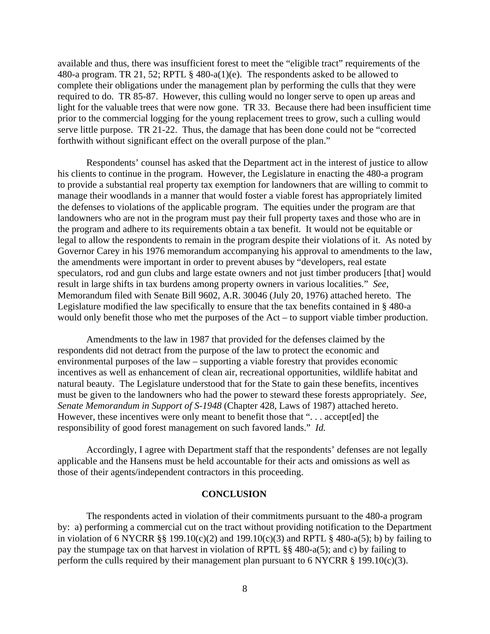available and thus, there was insufficient forest to meet the "eligible tract" requirements of the 480-a program. TR 21, 52; RPTL § 480-a(1)(e). The respondents asked to be allowed to complete their obligations under the management plan by performing the culls that they were required to do. TR 85-87. However, this culling would no longer serve to open up areas and light for the valuable trees that were now gone. TR 33. Because there had been insufficient time prior to the commercial logging for the young replacement trees to grow, such a culling would serve little purpose. TR 21-22. Thus, the damage that has been done could not be "corrected forthwith without significant effect on the overall purpose of the plan."

 Respondents' counsel has asked that the Department act in the interest of justice to allow his clients to continue in the program. However, the Legislature in enacting the 480-a program to provide a substantial real property tax exemption for landowners that are willing to commit to manage their woodlands in a manner that would foster a viable forest has appropriately limited the defenses to violations of the applicable program. The equities under the program are that landowners who are not in the program must pay their full property taxes and those who are in the program and adhere to its requirements obtain a tax benefit. It would not be equitable or legal to allow the respondents to remain in the program despite their violations of it. As noted by Governor Carey in his 1976 memorandum accompanying his approval to amendments to the law, the amendments were important in order to prevent abuses by "developers, real estate speculators, rod and gun clubs and large estate owners and not just timber producers [that] would result in large shifts in tax burdens among property owners in various localities." *See*, Memorandum filed with Senate Bill 9602, A.R. 30046 (July 20, 1976) attached hereto. The Legislature modified the law specifically to ensure that the tax benefits contained in § 480-a would only benefit those who met the purposes of the Act – to support viable timber production.

 Amendments to the law in 1987 that provided for the defenses claimed by the respondents did not detract from the purpose of the law to protect the economic and environmental purposes of the law – supporting a viable forestry that provides economic incentives as well as enhancement of clean air, recreational opportunities, wildlife habitat and natural beauty. The Legislature understood that for the State to gain these benefits, incentives must be given to the landowners who had the power to steward these forests appropriately. *See*, *Senate Memorandum in Support of S-1948* (Chapter 428, Laws of 1987) attached hereto. However, these incentives were only meant to benefit those that "... accept[ed] the responsibility of good forest management on such favored lands." *Id.*

 Accordingly, I agree with Department staff that the respondents' defenses are not legally applicable and the Hansens must be held accountable for their acts and omissions as well as those of their agents/independent contractors in this proceeding.

### **CONCLUSION**

The respondents acted in violation of their commitments pursuant to the 480-a program by: a) performing a commercial cut on the tract without providing notification to the Department in violation of 6 NYCRR §§ 199.10(c)(2) and 199.10(c)(3) and RPTL § 480-a(5); b) by failing to pay the stumpage tax on that harvest in violation of RPTL §§ 480-a(5); and c) by failing to perform the culls required by their management plan pursuant to 6 NYCRR  $\S$  199.10(c)(3).